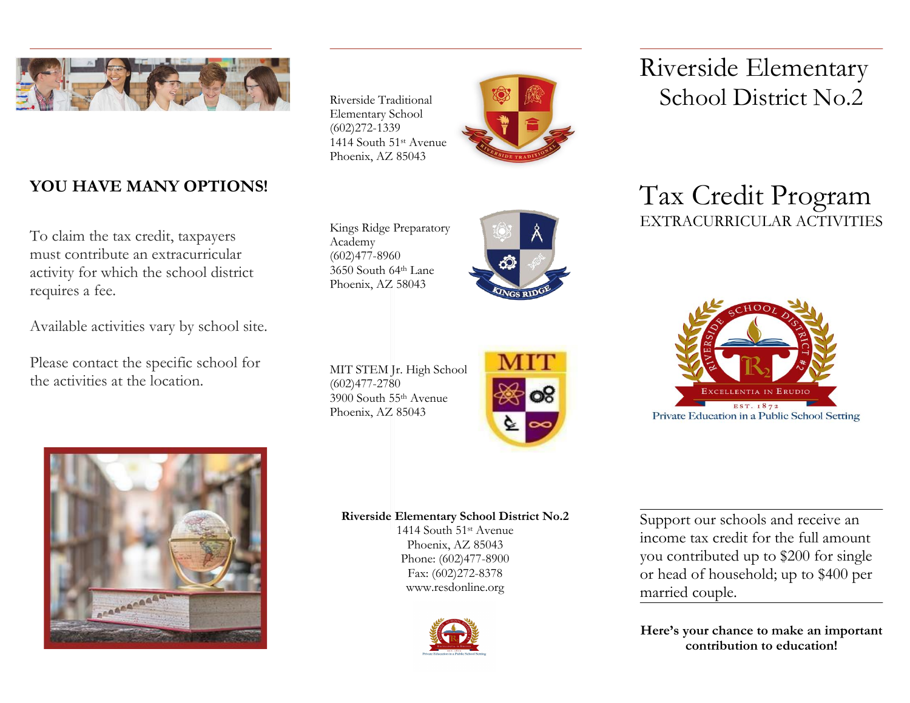

# **YOU HAVE MANY OPTIONS!**

To claim the tax credit, taxpayers must contribute an extracurricular activity for which the school district requires a fee.

Available activities vary by school site.

Please contact the specific school for the activities at the location.

Riverside Traditional Elementary School (602)272-1339 1414 South 51st Avenue Phoenix, AZ 85043



Kings Ridge Preparatory Academy (602)477-8960 3650 South 64th Lane Phoenix, AZ 58043



MIT STEM Jr. High School (602)477-2780 3900 South 55th Avenue Phoenix, AZ 85043



Riverside Elementary School District No.2

# Tax Credit Program EXTRACURRICULAR ACTIVITIES





**Riverside Elementary School District No.2**

1414 South 51st Avenue Phoenix, AZ 85043 Phone: (602)477-8900 Fax: (602)272-8378 www.resdonline.org



Support our schools and receive an income tax credit for the full amount you contributed up to \$200 for single or head of household; up to \$400 per married couple.

**Here's your chance to make an important contribution to education!**